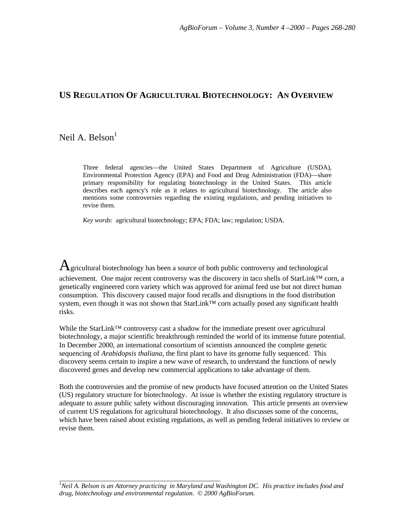# **US REGULATION OF AGRICULTURAL BIOTECHNOLOGY: AN OVERVIEW**

# Neil A. Belson $<sup>1</sup>$ </sup>

Three federal agencies—the United States Department of Agriculture (USDA), Environmental Protection Agency (EPA) and Food and Drug Administration (FDA)—share primary responsibility for regulating biotechnology in the United States. This article describes each agency's role as it relates to agricultural biotechnology. The article also mentions some controversies regarding the existing regulations, and pending initiatives to revise them.

*Key words*: agricultural biotechnology; EPA; FDA; law; regulation; USDA.

 $A$ gricultural biotechnology has been a source of both public controversy and technological achievement. One major recent controversy was the discovery in taco shells of StarLink™ corn, a genetically engineered corn variety which was approved for animal feed use but not direct human consumption. This discovery caused major food recalls and disruptions in the food distribution system, even though it was not shown that StarLink™ corn actually posed any significant health risks.

While the StarLink™ controversy cast a shadow for the immediate present over agricultural biotechnology, a major scientific breakthrough reminded the world of its immense future potential. In December 2000, an international consortium of scientists announced the complete genetic sequencing of *Arabidopsis thaliana*, the first plant to have its genome fully sequenced. This discovery seems certain to inspire a new wave of research, to understand the functions of newly discovered genes and develop new commercial applications to take advantage of them.

Both the controversies and the promise of new products have focused attention on the United States (US) regulatory structure for biotechnology. At issue is whether the existing regulatory structure is adequate to assure public safety without discouraging innovation. This article presents an overview of current US regulations for agricultural biotechnology. It also discusses some of the concerns, which have been raised about existing regulations, as well as pending federal initiatives to review or revise them.

\_\_\_\_\_\_\_\_\_\_\_\_\_\_\_\_\_\_\_\_\_\_\_\_\_\_\_\_\_\_\_\_\_\_\_\_\_\_\_\_\_\_\_\_\_\_\_\_\_ *<sup>1</sup>Neil A. Belson is an Attorney practicing in Maryland and Washington DC. His practice includes food and drug, biotechnology and environmental regulation. © 2000 AgBioForum.*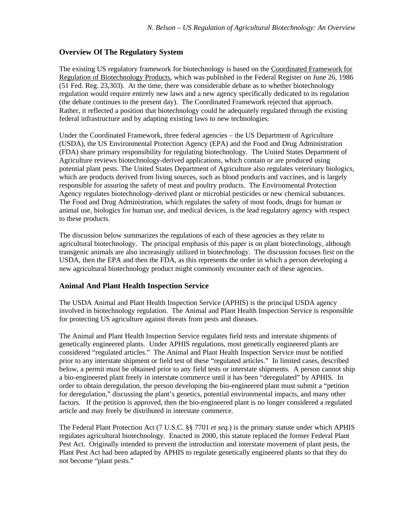### **Overview Of The Regulatory System**

The existing US regulatory framework for biotechnology is based on the Coordinated Framework for Regulation of Biotechnology Products, which was published in the Federal Register on June 26, 1986 (51 Fed. Reg. 23,303). At the time, there was considerable debate as to whether biotechnology regulation would require entirely new laws and a new agency specifically dedicated to its regulation (the debate continues to the present day). The Coordinated Framework rejected that approach. Rather, it reflected a position that biotechnology could be adequately regulated through the existing federal infrastructure and by adapting existing laws to new technologies.

Under the Coordinated Framework, three federal agencies – the US Department of Agriculture (USDA), the US Environmental Protection Agency (EPA) and the Food and Drug Administration (FDA) share primary responsibility for regulating biotechnology. The United States Department of Agriculture reviews biotechnology-derived applications, which contain or are produced using potential plant pests. The United States Department of Agriculture also regulates veterinary biologics, which are products derived from living sources, such as blood products and vaccines, and is largely responsible for assuring the safety of meat and poultry products. The Environmental Protection Agency regulates biotechnology-derived plant or microbial pesticides or new chemical substances. The Food and Drug Administration, which regulates the safety of most foods, drugs for human or animal use, biologics for human use, and medical devices, is the lead regulatory agency with respect to these products.

The discussion below summarizes the regulations of each of these agencies as they relate to agricultural biotechnology. The principal emphasis of this paper is on plant biotechnology, although transgenic animals are also increasingly utilized in biotechnology. The discussion focuses first on the USDA, then the EPA and then the FDA, as this represents the order in which a person developing a new agricultural biotechnology product might commonly encounter each of these agencies.

### **Animal And Plant Health Inspection Service**

The USDA Animal and Plant Health Inspection Service (APHIS) is the principal USDA agency involved in biotechnology regulation. The Animal and Plant Health Inspection Service is responsible for protecting US agriculture against threats from pests and diseases.

The Animal and Plant Health Inspection Service regulates field tests and interstate shipments of genetically engineered plants. Under APHIS regulations, most genetically engineered plants are considered "regulated articles." The Animal and Plant Health Inspection Service must be notified prior to any interstate shipment or field test of these "regulated articles." In limited cases, described below, a permit must be obtained prior to any field tests or interstate shipments. A person cannot ship a bio-engineered plant freely in interstate commerce until it has been "deregulated" by APHIS. In order to obtain deregulation, the person developing the bio-engineered plant must submit a "petition for deregulation," discussing the plant's genetics, potential environmental impacts, and many other factors. If the petition is approved, then the bio-engineered plant is no longer considered a regulated article and may freely be distributed in interstate commerce.

The Federal Plant Protection Act (7 U.S.C. §§ 7701 *et seq.*) is the primary statute under which APHIS regulates agricultural biotechnology. Enacted in 2000, this statute replaced the former Federal Plant Pest Act. Originally intended to prevent the introduction and interstate movement of plant pests, the Plant Pest Act had been adapted by APHIS to regulate genetically engineered plants so that they do not become "plant pests."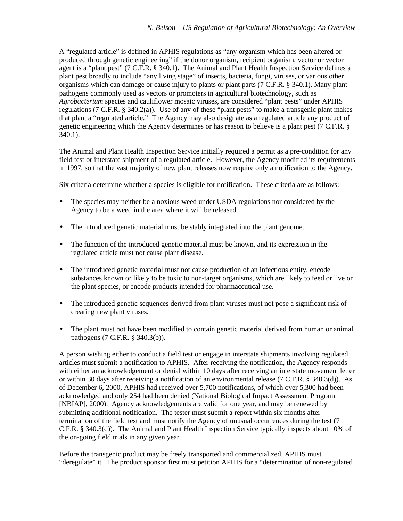A "regulated article" is defined in APHIS regulations as "any organism which has been altered or produced through genetic engineering" if the donor organism, recipient organism, vector or vector agent is a "plant pest" (7 C.F.R. § 340.1). The Animal and Plant Health Inspection Service defines a plant pest broadly to include "any living stage" of insects, bacteria, fungi, viruses, or various other organisms which can damage or cause injury to plants or plant parts (7 C.F.R. § 340.1). Many plant pathogens commonly used as vectors or promoters in agricultural biotechnology, such as *Agrobacterium* species and cauliflower mosaic viruses, are considered "plant pests" under APHIS regulations (7 C.F.R. § 340.2(a)). Use of any of these "plant pests" to make a transgenic plant makes that plant a "regulated article." The Agency may also designate as a regulated article any product of genetic engineering which the Agency determines or has reason to believe is a plant pest (7 C.F.R. § 340.1).

The Animal and Plant Health Inspection Service initially required a permit as a pre-condition for any field test or interstate shipment of a regulated article. However, the Agency modified its requirements in 1997, so that the vast majority of new plant releases now require only a notification to the Agency.

Six criteria determine whether a species is eligible for notification. These criteria are as follows:

- The species may neither be a noxious weed under USDA regulations nor considered by the Agency to be a weed in the area where it will be released.
- The introduced genetic material must be stably integrated into the plant genome.
- The function of the introduced genetic material must be known, and its expression in the regulated article must not cause plant disease.
- The introduced genetic material must not cause production of an infectious entity, encode substances known or likely to be toxic to non-target organisms, which are likely to feed or live on the plant species, or encode products intended for pharmaceutical use.
- The introduced genetic sequences derived from plant viruses must not pose a significant risk of creating new plant viruses.
- The plant must not have been modified to contain genetic material derived from human or animal pathogens (7 C.F.R. § 340.3(b)).

A person wishing either to conduct a field test or engage in interstate shipments involving regulated articles must submit a notification to APHIS. After receiving the notification, the Agency responds with either an acknowledgement or denial within 10 days after receiving an interstate movement letter or within 30 days after receiving a notification of an environmental release (7 C.F.R. § 340.3(d)). As of December 6, 2000, APHIS had received over 5,700 notifications, of which over 5,300 had been acknowledged and only 254 had been denied (National Biological Impact Assessment Program [NBIAP], 2000). Agency acknowledgements are valid for one year, and may be renewed by submitting additional notification. The tester must submit a report within six months after termination of the field test and must notify the Agency of unusual occurrences during the test (7 C.F.R. § 340.3(d)). The Animal and Plant Health Inspection Service typically inspects about 10% of the on-going field trials in any given year.

Before the transgenic product may be freely transported and commercialized, APHIS must "deregulate" it. The product sponsor first must petition APHIS for a "determination of non-regulated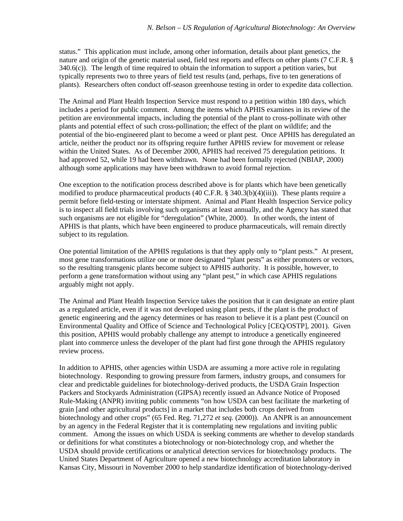status." This application must include, among other information, details about plant genetics, the nature and origin of the genetic material used, field test reports and effects on other plants (7 C.F.R. § 340.6(c)). The length of time required to obtain the information to support a petition varies, but typically represents two to three years of field test results (and, perhaps, five to ten generations of plants). Researchers often conduct off-season greenhouse testing in order to expedite data collection.

The Animal and Plant Health Inspection Service must respond to a petition within 180 days, which includes a period for public comment. Among the items which APHIS examines in its review of the petition are environmental impacts, including the potential of the plant to cross-pollinate with other plants and potential effect of such cross-pollination; the effect of the plant on wildlife; and the potential of the bio-engineered plant to become a weed or plant pest. Once APHIS has deregulated an article, neither the product nor its offspring require further APHIS review for movement or release within the United States. As of December 2000, APHIS had received 75 deregulation petitions. It had approved 52, while 19 had been withdrawn. None had been formally rejected (NBIAP, 2000) although some applications may have been withdrawn to avoid formal rejection.

One exception to the notification process described above is for plants which have been genetically modified to produce pharmaceutical products (40 C.F.R. § 340.3(b)(4)(iii)). These plants require a permit before field-testing or interstate shipment. Animal and Plant Health Inspection Service policy is to inspect all field trials involving such organisms at least annually, and the Agency has stated that such organisms are not eligible for "deregulation" (White, 2000). In other words, the intent of APHIS is that plants, which have been engineered to produce pharmaceuticals, will remain directly subject to its regulation.

One potential limitation of the APHIS regulations is that they apply only to "plant pests." At present, most gene transformations utilize one or more designated "plant pests" as either promoters or vectors, so the resulting transgenic plants become subject to APHIS authority. It is possible, however, to perform a gene transformation without using any "plant pest," in which case APHIS regulations arguably might not apply.

The Animal and Plant Health Inspection Service takes the position that it can designate an entire plant as a regulated article, even if it was not developed using plant pests, if the plant is the product of genetic engineering and the agency determines or has reason to believe it is a plant pest (Council on Environmental Quality and Office of Science and Technological Policy [CEQ/OSTP], 2001). Given this position, APHIS would probably challenge any attempt to introduce a genetically engineered plant into commerce unless the developer of the plant had first gone through the APHIS regulatory review process.

In addition to APHIS, other agencies within USDA are assuming a more active role in regulating biotechnology. Responding to growing pressure from farmers, industry groups, and consumers for clear and predictable guidelines for biotechnology-derived products, the USDA Grain Inspection Packers and Stockyards Administration (GIPSA) recently issued an Advance Notice of Proposed Rule-Making (ANPR) inviting public comments "on how USDA can best facilitate the marketing of grain [and other agricultural products] in a market that includes both crops derived from biotechnology and other crops" (65 Fed. Reg. 71,272 *et seq.* (2000)). An ANPR is an announcement by an agency in the Federal Register that it is contemplating new regulations and inviting public comment. Among the issues on which USDA is seeking comments are whether to develop standards or definitions for what constitutes a biotechnology or non-biotechnology crop, and whether the USDA should provide certifications or analytical detection services for biotechnology products. The United States Department of Agriculture opened a new biotechnology accreditation laboratory in Kansas City, Missouri in November 2000 to help standardize identification of biotechnology-derived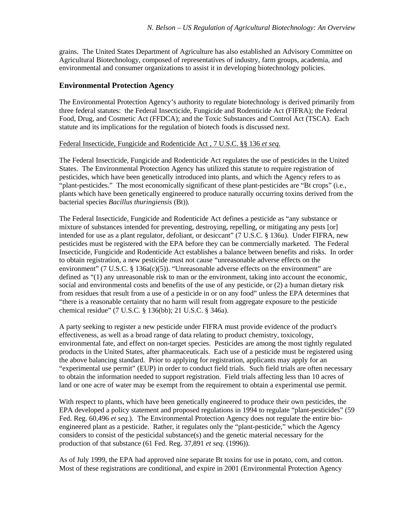grains. The United States Department of Agriculture has also established an Advisory Committee on Agricultural Biotechnology, composed of representatives of industry, farm groups, academia, and environmental and consumer organizations to assist it in developing biotechnology policies.

### **Environmental Protection Agency**

The Environmental Protection Agency's authority to regulate biotechnology is derived primarily from three federal statutes: the Federal Insecticide, Fungicide and Rodenticide Act (FIFRA); the Federal Food, Drug, and Cosmetic Act (FFDCA); and the Toxic Substances and Control Act (TSCA). Each statute and its implications for the regulation of biotech foods is discussed next.

#### Federal Insecticide, Fungicide and Rodenticide Act , 7 U.S.C. §§ 136 *et seq.*

The Federal Insecticide, Fungicide and Rodenticide Act regulates the use of pesticides in the United States. The Environmental Protection Agency has utilized this statute to require registration of pesticides, which have been genetically introduced into plants, and which the Agency refers to as "plant-pesticides." The most economically significant of these plant-pesticides are "Bt crops" (i.e., plants which have been genetically engineered to produce naturally occurring toxins derived from the bacterial species *Bacillus thuringiensis* (Bt)).

The Federal Insecticide, Fungicide and Rodenticide Act defines a pesticide as "any substance or mixture of substances intended for preventing, destroying, repelling, or mitigating any pests [or] intended for use as a plant regulator, defoliant, or desiccant" (7 U.S.C. § 136u). Under FIFRA, new pesticides must be registered with the EPA before they can be commercially marketed. The Federal Insecticide, Fungicide and Rodenticide Act establishes a balance between benefits and risks. In order to obtain registration, a new pesticide must not cause "unreasonable adverse effects on the environment" (7 U.S.C. § 136a(c)(5)). "Unreasonable adverse effects on the environment" are defined as "(1) any unreasonable risk to man or the environment, taking into account the economic, social and environmental costs and benefits of the use of any pesticide, or (2) a human dietary risk from residues that result from a use of a pesticide in or on any food" unless the EPA determines that "there is a reasonable certainty that no harm will result from aggregate exposure to the pesticide chemical residue" (7 U.S.C. § 136(bb); 21 U.S.C. § 346a).

A party seeking to register a new pesticide under FIFRA must provide evidence of the product's effectiveness, as well as a broad range of data relating to product chemistry, toxicology, environmental fate, and effect on non-target species. Pesticides are among the most tightly regulated products in the United States, after pharmaceuticals. Each use of a pesticide must be registered using the above balancing standard. Prior to applying for registration, applicants may apply for an "experimental use permit" (EUP) in order to conduct field trials. Such field trials are often necessary to obtain the information needed to support registration. Field trials affecting less than 10 acres of land or one acre of water may be exempt from the requirement to obtain a experimental use permit.

With respect to plants, which have been genetically engineered to produce their own pesticides, the EPA developed a policy statement and proposed regulations in 1994 to regulate "plant-pesticides" (59 Fed. Reg. 60,496 *et seq.*). The Environmental Protection Agency does not regulate the entire bioengineered plant as a pesticide. Rather, it regulates only the "plant-pesticide," which the Agency considers to consist of the pesticidal substance(s) and the genetic material necessary for the production of that substance (61 Fed. Reg. 37,891 *et seq.* (1996)).

As of July 1999, the EPA had approved nine separate Bt toxins for use in potato, corn, and cotton. Most of these registrations are conditional, and expire in 2001 (Environmental Protection Agency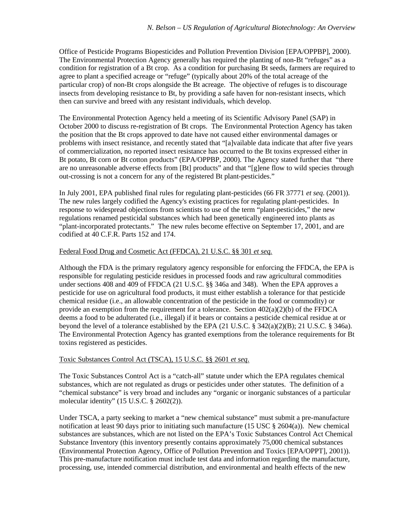Office of Pesticide Programs Biopesticides and Pollution Prevention Division [EPA/OPPBP], 2000). The Environmental Protection Agency generally has required the planting of non-Bt "refuges" as a condition for registration of a Bt crop. As a condition for purchasing Bt seeds, farmers are required to agree to plant a specified acreage or "refuge" (typically about 20% of the total acreage of the particular crop) of non-Bt crops alongside the Bt acreage. The objective of refuges is to discourage insects from developing resistance to Bt, by providing a safe haven for non-resistant insects, which then can survive and breed with any resistant individuals, which develop.

The Environmental Protection Agency held a meeting of its Scientific Advisory Panel (SAP) in October 2000 to discuss re-registration of Bt crops. The Environmental Protection Agency has taken the position that the Bt crops approved to date have not caused either environmental damages or problems with insect resistance, and recently stated that "[a]vailable data indicate that after five years of commercialization, no reported insect resistance has occurred to the Bt toxins expressed either in Bt potato, Bt corn or Bt cotton products" (EPA/OPPBP, 2000). The Agency stated further that "there are no unreasonable adverse effects from [Bt] products" and that "[g]ene flow to wild species through out-crossing is not a concern for any of the registered Bt plant-pesticides."

In July 2001, EPA published final rules for regulating plant-pesticides (66 FR 37771 *et seq*. (2001)). The new rules largely codified the Agency's existing practices for regulating plant-pesticides. In response to widespread objections from scientists to use of the term "plant-pesticides," the new regulations renamed pesticidal substances which had been genetically engineered into plants as "plant-incorporated protectants." The new rules become effective on September 17, 2001, and are codified at 40 C.F.R. Parts 152 and 174.

#### Federal Food Drug and Cosmetic Act (FFDCA), 21 U.S.C. §§ 301 *et seq.*

Although the FDA is the primary regulatory agency responsible for enforcing the FFDCA, the EPA is responsible for regulating pesticide residues in processed foods and raw agricultural commodities under sections 408 and 409 of FFDCA (21 U.S.C. §§ 346a and 348). When the EPA approves a pesticide for use on agricultural food products, it must either establish a tolerance for that pesticide chemical residue (i.e., an allowable concentration of the pesticide in the food or commodity) or provide an exemption from the requirement for a tolerance. Section  $402(a)(2)(b)$  of the FFDCA deems a food to be adulterated (i.e., illegal) if it bears or contains a pesticide chemical residue at or beyond the level of a tolerance established by the EPA (21 U.S.C. § 342(a)(2)(B); 21 U.S.C. § 346a). The Environmental Protection Agency has granted exemptions from the tolerance requirements for Bt toxins registered as pesticides.

#### Toxic Substances Control Act (TSCA), 15 U.S.C. §§ 2601 *et seq*.

The Toxic Substances Control Act is a "catch-all" statute under which the EPA regulates chemical substances, which are not regulated as drugs or pesticides under other statutes. The definition of a "chemical substance" is very broad and includes any "organic or inorganic substances of a particular molecular identity" (15 U.S.C. § 2602(2)).

Under TSCA, a party seeking to market a "new chemical substance" must submit a pre-manufacture notification at least 90 days prior to initiating such manufacture (15 USC  $\S$  2604(a)). New chemical substances are substances, which are not listed on the EPA's Toxic Substances Control Act Chemical Substance Inventory (this inventory presently contains approximately 75,000 chemical substances (Environmental Protection Agency, Office of Pollution Prevention and Toxics [EPA/OPPT], 2001)). This pre-manufacture notification must include test data and information regarding the manufacture, processing, use, intended commercial distribution, and environmental and health effects of the new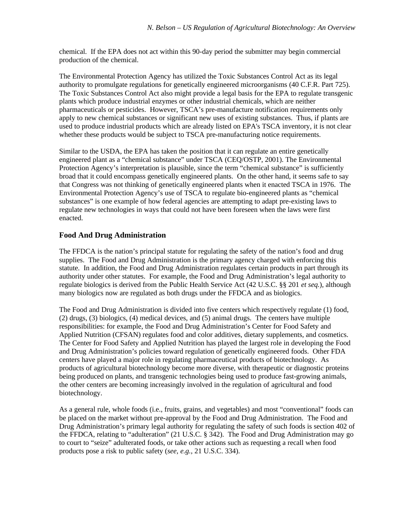chemical. If the EPA does not act within this 90-day period the submitter may begin commercial production of the chemical.

The Environmental Protection Agency has utilized the Toxic Substances Control Act as its legal authority to promulgate regulations for genetically engineered microorganisms (40 C.F.R. Part 725). The Toxic Substances Control Act also might provide a legal basis for the EPA to regulate transgenic plants which produce industrial enzymes or other industrial chemicals, which are neither pharmaceuticals or pesticides. However, TSCA's pre-manufacture notification requirements only apply to new chemical substances or significant new uses of existing substances. Thus, if plants are used to produce industrial products which are already listed on EPA's TSCA inventory, it is not clear whether these products would be subject to TSCA pre-manufacturing notice requirements.

Similar to the USDA, the EPA has taken the position that it can regulate an entire genetically engineered plant as a "chemical substance" under TSCA (CEQ/OSTP, 2001). The Environmental Protection Agency's interpretation is plausible, since the term "chemical substance" is sufficiently broad that it could encompass genetically engineered plants. On the other hand, it seems safe to say that Congress was not thinking of genetically engineered plants when it enacted TSCA in 1976. The Environmental Protection Agency's use of TSCA to regulate bio-engineered plants as "chemical substances" is one example of how federal agencies are attempting to adapt pre-existing laws to regulate new technologies in ways that could not have been foreseen when the laws were first enacted.

### **Food And Drug Administration**

The FFDCA is the nation's principal statute for regulating the safety of the nation's food and drug supplies. The Food and Drug Administration is the primary agency charged with enforcing this statute. In addition, the Food and Drug Administration regulates certain products in part through its authority under other statutes. For example, the Food and Drug Administration's legal authority to regulate biologics is derived from the Public Health Service Act (42 U.S.C. §§ 201 *et seq.*), although many biologics now are regulated as both drugs under the FFDCA and as biologics.

The Food and Drug Administration is divided into five centers which respectively regulate (1) food, (2) drugs, (3) biologics, (4) medical devices, and (5) animal drugs. The centers have multiple responsibilities: for example, the Food and Drug Administration's Center for Food Safety and Applied Nutrition (CFSAN) regulates food and color additives, dietary supplements, and cosmetics. The Center for Food Safety and Applied Nutrition has played the largest role in developing the Food and Drug Administration's policies toward regulation of genetically engineered foods. Other FDA centers have played a major role in regulating pharmaceutical products of biotechnology. As products of agricultural biotechnology become more diverse, with therapeutic or diagnostic proteins being produced on plants, and transgenic technologies being used to produce fast-growing animals, the other centers are becoming increasingly involved in the regulation of agricultural and food biotechnology.

As a general rule, whole foods (i.e., fruits, grains, and vegetables) and most "conventional" foods can be placed on the market without pre-approval by the Food and Drug Administration. The Food and Drug Administration's primary legal authority for regulating the safety of such foods is section 402 of the FFDCA, relating to "adulteration" (21 U.S.C. § 342). The Food and Drug Administration may go to court to "seize" adulterated foods, or take other actions such as requesting a recall when food products pose a risk to public safety (*see, e.g.,* 21 U.S.C. 334).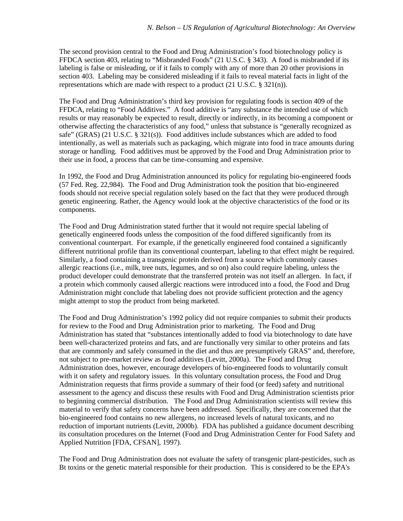The second provision central to the Food and Drug Administration's food biotechnology policy is FFDCA section 403, relating to "Misbranded Foods" (21 U.S.C. § 343). A food is misbranded if its labeling is false or misleading, or if it fails to comply with any of more than 20 other provisions in section 403. Labeling may be considered misleading if it fails to reveal material facts in light of the representations which are made with respect to a product (21 U.S.C. § 321(n)).

The Food and Drug Administration's third key provision for regulating foods is section 409 of the FFDCA, relating to "Food Additives." A food additive is "any substance the intended use of which results or may reasonably be expected to result, directly or indirectly, in its becoming a component or otherwise affecting the characteristics of any food," unless that substance is "generally recognized as safe" (GRAS) (21 U.S.C. § 321(s)). Food additives include substances which are added to food intentionally, as well as materials such as packaging, which migrate into food in trace amounts during storage or handling. Food additives must be approved by the Food and Drug Administration prior to their use in food, a process that can be time-consuming and expensive.

In 1992, the Food and Drug Administration announced its policy for regulating bio-engineered foods (57 Fed. Reg. 22,984). The Food and Drug Administration took the position that bio-engineered foods should not receive special regulation solely based on the fact that they were produced through genetic engineering. Rather, the Agency would look at the objective characteristics of the food or its components.

The Food and Drug Administration stated further that it would not require special labeling of genetically engineered foods unless the composition of the food differed significantly from its conventional counterpart. For example, if the genetically engineered food contained a significantly different nutritional profile than its conventional counterpart, labeling to that effect might be required. Similarly, a food containing a transgenic protein derived from a source which commonly causes allergic reactions (i.e., milk, tree nuts, legumes, and so on) also could require labeling, unless the product developer could demonstrate that the transferred protein was not itself an allergen. In fact, if a protein which commonly caused allergic reactions were introduced into a food, the Food and Drug Administration might conclude that labeling does not provide sufficient protection and the agency might attempt to stop the product from being marketed.

The Food and Drug Administration's 1992 policy did not require companies to submit their products for review to the Food and Drug Administration prior to marketing. The Food and Drug Administration has stated that "substances intentionally added to food via biotechnology to date have been well-characterized proteins and fats, and are functionally very similar to other proteins and fats that are commonly and safely consumed in the diet and thus are presumptively GRAS" and, therefore, not subject to pre-market review as food additives (Levitt, 2000a). The Food and Drug Administration does, however, encourage developers of bio-engineered foods to voluntarily consult with it on safety and regulatory issues. In this voluntary consultation process, the Food and Drug Administration requests that firms provide a summary of their food (or feed) safety and nutritional assessment to the agency and discuss these results with Food and Drug Administration scientists prior to beginning commercial distribution. The Food and Drug Administration scientists will review this material to verify that safety concerns have been addressed. Specifically, they are concerned that the bio-engineered food contains no new allergens, no increased levels of natural toxicants, and no reduction of important nutrients (Levitt, 2000b). FDA has published a guidance document describing its consultation procedures on the Internet (Food and Drug Administration Center for Food Safety and Applied Nutrition [FDA, CFSAN], 1997).

The Food and Drug Administration does not evaluate the safety of transgenic plant-pesticides, such as Bt toxins or the genetic material responsible for their production. This is considered to be the EPA's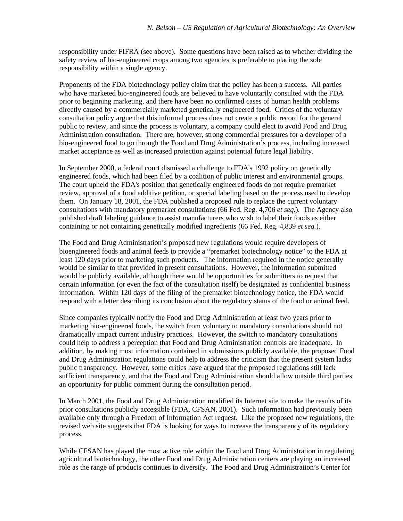responsibility under FIFRA (see above). Some questions have been raised as to whether dividing the safety review of bio-engineered crops among two agencies is preferable to placing the sole responsibility within a single agency.

Proponents of the FDA biotechnology policy claim that the policy has been a success. All parties who have marketed bio-engineered foods are believed to have voluntarily consulted with the FDA prior to beginning marketing, and there have been no confirmed cases of human health problems directly caused by a commercially marketed genetically engineered food. Critics of the voluntary consultation policy argue that this informal process does not create a public record for the general public to review, and since the process is voluntary, a company could elect to avoid Food and Drug Administration consultation. There are, however, strong commercial pressures for a developer of a bio-engineered food to go through the Food and Drug Administration's process, including increased market acceptance as well as increased protection against potential future legal liability.

In September 2000, a federal court dismissed a challenge to FDA's 1992 policy on genetically engineered foods, which had been filed by a coalition of public interest and environmental groups. The court upheld the FDA's position that genetically engineered foods do not require premarket review, approval of a food additive petition, or special labeling based on the process used to develop them. On January 18, 2001, the FDA published a proposed rule to replace the current voluntary consultations with mandatory premarket consultations (66 Fed. Reg. 4,706 *et seq.*). The Agency also published draft labeling guidance to assist manufacturers who wish to label their foods as either containing or not containing genetically modified ingredients (66 Fed. Reg. 4,839 *et seq.*).

The Food and Drug Administration's proposed new regulations would require developers of bioengineered foods and animal feeds to provide a "premarket biotechnology notice" to the FDA at least 120 days prior to marketing such products. The information required in the notice generally would be similar to that provided in present consultations. However, the information submitted would be publicly available, although there would be opportunities for submitters to request that certain information (or even the fact of the consultation itself) be designated as confidential business information. Within 120 days of the filing of the premarket biotechnology notice, the FDA would respond with a letter describing its conclusion about the regulatory status of the food or animal feed.

Since companies typically notify the Food and Drug Administration at least two years prior to marketing bio-engineered foods, the switch from voluntary to mandatory consultations should not dramatically impact current industry practices. However, the switch to mandatory consultations could help to address a perception that Food and Drug Administration controls are inadequate. In addition, by making most information contained in submissions publicly available, the proposed Food and Drug Administration regulations could help to address the criticism that the present system lacks public transparency. However, some critics have argued that the proposed regulations still lack sufficient transparency, and that the Food and Drug Administration should allow outside third parties an opportunity for public comment during the consultation period.

In March 2001, the Food and Drug Administration modified its Internet site to make the results of its prior consultations publicly accessible (FDA, CFSAN, 2001). Such information had previously been available only through a Freedom of Information Act request. Like the proposed new regulations, the revised web site suggests that FDA is looking for ways to increase the transparency of its regulatory process.

While CFSAN has played the most active role within the Food and Drug Administration in regulating agricultural biotechnology, the other Food and Drug Administration centers are playing an increased role as the range of products continues to diversify. The Food and Drug Administration's Center for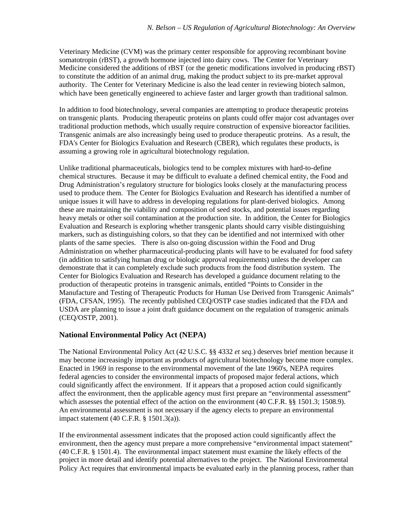Veterinary Medicine (CVM) was the primary center responsible for approving recombinant bovine somatotropin (rBST), a growth hormone injected into dairy cows. The Center for Veterinary Medicine considered the additions of rBST (or the genetic modifications involved in producing rBST) to constitute the addition of an animal drug, making the product subject to its pre-market approval authority. The Center for Veterinary Medicine is also the lead center in reviewing biotech salmon, which have been genetically engineered to achieve faster and larger growth than traditional salmon.

In addition to food biotechnology, several companies are attempting to produce therapeutic proteins on transgenic plants. Producing therapeutic proteins on plants could offer major cost advantages over traditional production methods, which usually require construction of expensive bioreactor facilities. Transgenic animals are also increasingly being used to produce therapeutic proteins. As a result, the FDA's Center for Biologics Evaluation and Research (CBER), which regulates these products, is assuming a growing role in agricultural biotechnology regulation.

Unlike traditional pharmaceuticals, biologics tend to be complex mixtures with hard-to-define chemical structures. Because it may be difficult to evaluate a defined chemical entity, the Food and Drug Administration's regulatory structure for biologics looks closely at the manufacturing process used to produce them. The Center for Biologics Evaluation and Research has identified a number of unique issues it will have to address in developing regulations for plant-derived biologics. Among these are maintaining the viability and composition of seed stocks, and potential issues regarding heavy metals or other soil contamination at the production site. In addition, the Center for Biologics Evaluation and Research is exploring whether transgenic plants should carry visible distinguishing markers, such as distinguishing colors, so that they can be identified and not intermixed with other plants of the same species. There is also on-going discussion within the Food and Drug Administration on whether pharmaceutical-producing plants will have to be evaluated for food safety (in addition to satisfying human drug or biologic approval requirements) unless the developer can demonstrate that it can completely exclude such products from the food distribution system. The Center for Biologics Evaluation and Research has developed a guidance document relating to the production of therapeutic proteins in transgenic animals, entitled "Points to Consider in the Manufacture and Testing of Therapeutic Products for Human Use Derived from Transgenic Animals" (FDA, CFSAN, 1995). The recently published CEQ/OSTP case studies indicated that the FDA and USDA are planning to issue a joint draft guidance document on the regulation of transgenic animals (CEQ/OSTP, 2001).

## **National Environmental Policy Act (NEPA)**

The National Environmental Policy Act (42 U.S.C. §§ 4332 *et seq.*) deserves brief mention because it may become increasingly important as products of agricultural biotechnology become more complex. Enacted in 1969 in response to the environmental movement of the late 1960's, NEPA requires federal agencies to consider the environmental impacts of proposed major federal actions, which could significantly affect the environment. If it appears that a proposed action could significantly affect the environment, then the applicable agency must first prepare an "environmental assessment" which assesses the potential effect of the action on the environment (40 C.F.R. §§ 1501.3; 1508.9). An environmental assessment is not necessary if the agency elects to prepare an environmental impact statement (40 C.F.R. § 1501.3(a)).

If the environmental assessment indicates that the proposed action could significantly affect the environment, then the agency must prepare a more comprehensive "environmental impact statement" (40 C.F.R. § 1501.4). The environmental impact statement must examine the likely effects of the project in more detail and identify potential alternatives to the project. The National Environmental Policy Act requires that environmental impacts be evaluated early in the planning process, rather than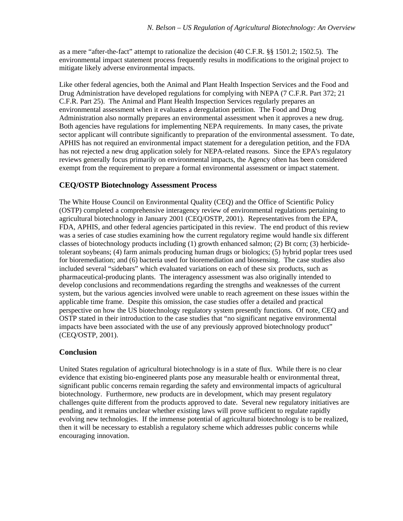as a mere "after-the-fact" attempt to rationalize the decision (40 C.F.R. §§ 1501.2; 1502.5). The environmental impact statement process frequently results in modifications to the original project to mitigate likely adverse environmental impacts.

Like other federal agencies, both the Animal and Plant Health Inspection Services and the Food and Drug Administration have developed regulations for complying with NEPA (7 C.F.R. Part 372; 21 C.F.R. Part 25). The Animal and Plant Health Inspection Services regularly prepares an environmental assessment when it evaluates a deregulation petition. The Food and Drug Administration also normally prepares an environmental assessment when it approves a new drug. Both agencies have regulations for implementing NEPA requirements. In many cases, the private sector applicant will contribute significantly to preparation of the environmental assessment.To date, APHIS has not required an environmental impact statement for a deregulation petition, and the FDA has not rejected a new drug application solely for NEPA-related reasons. Since the EPA's regulatory reviews generally focus primarily on environmental impacts, the Agency often has been considered exempt from the requirement to prepare a formal environmental assessment or impact statement.

### **CEQ/OSTP Biotechnology Assessment Process**

The White House Council on Environmental Quality (CEQ) and the Office of Scientific Policy (OSTP) completed a comprehensive interagency review of environmental regulations pertaining to agricultural biotechnology in January 2001 (CEQ/OSTP, 2001). Representatives from the EPA, FDA, APHIS, and other federal agencies participated in this review. The end product of this review was a series of case studies examining how the current regulatory regime would handle six different classes of biotechnology products including (1) growth enhanced salmon; (2) Bt corn; (3) herbicidetolerant soybeans; (4) farm animals producing human drugs or biologics; (5) hybrid poplar trees used for bioremediation; and (6) bacteria used for bioremediation and biosensing. The case studies also included several "sidebars" which evaluated variations on each of these six products, such as pharmaceutical-producing plants. The interagency assessment was also originally intended to develop conclusions and recommendations regarding the strengths and weaknesses of the current system, but the various agencies involved were unable to reach agreement on these issues within the applicable time frame. Despite this omission, the case studies offer a detailed and practical perspective on how the US biotechnology regulatory system presently functions. Of note, CEQ and OSTP stated in their introduction to the case studies that "no significant negative environmental impacts have been associated with the use of any previously approved biotechnology product" (CEQ/OSTP, 2001).

## **Conclusion**

United States regulation of agricultural biotechnology is in a state of flux. While there is no clear evidence that existing bio-engineered plants pose any measurable health or environmental threat, significant public concerns remain regarding the safety and environmental impacts of agricultural biotechnology. Furthermore, new products are in development, which may present regulatory challenges quite different from the products approved to date. Several new regulatory initiatives are pending, and it remains unclear whether existing laws will prove sufficient to regulate rapidly evolving new technologies. If the immense potential of agricultural biotechnology is to be realized, then it will be necessary to establish a regulatory scheme which addresses public concerns while encouraging innovation.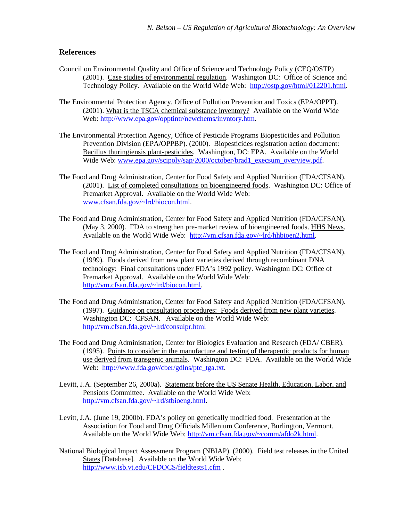#### **References**

- Council on Environmental Quality and Office of Science and Technology Policy (CEQ/OSTP) (2001). Case studies of environmental regulation. Washington DC: Office of Science and Technology Policy. Available on the World Wide Web: http://ostp.gov/html/012201.html.
- The Environmental Protection Agency, Office of Pollution Prevention and Toxics (EPA/OPPT). (2001). What is the TSCA chemical substance inventory? Available on the World Wide Web: http://www.epa.gov/opptintr/newchems/invntory.htm.
- The Environmental Protection Agency, Office of Pesticide Programs Biopesticides and Pollution Prevention Division (EPA/OPPBP). (2000). Biopesticides registration action document: Bacillus thuringiensis plant-pesticides. Washington, DC: EPA. Available on the World Wide Web: www.epa.gov/scipoly/sap/2000/october/brad1\_execsum\_overview.pdf.
- The Food and Drug Administration, Center for Food Safety and Applied Nutrition (FDA/CFSAN). (2001). List of completed consultations on bioengineered foods. Washington DC: Office of Premarket Approval. Available on the World Wide Web: www.cfsan.fda.gov/~lrd/biocon.html.
- The Food and Drug Administration, Center for Food Safety and Applied Nutrition (FDA/CFSAN). (May 3, 2000). FDA to strengthen pre-market review of bioengineered foods. HHS News. Available on the World Wide Web: http://vm.cfsan.fda.gov/~lrd/hhbioen2.html.
- The Food and Drug Administration, Center for Food Safety and Applied Nutrition (FDA/CFSAN). (1999). Foods derived from new plant varieties derived through recombinant DNA technology: Final consultations under FDA's 1992 policy. Washington DC: Office of Premarket Approval. Available on the World Wide Web: http://vm.cfsan.fda.gov/~lrd/biocon.html.
- The Food and Drug Administration, Center for Food Safety and Applied Nutrition (FDA/CFSAN). (1997). Guidance on consultation procedures: Foods derived from new plant varieties. Washington DC: CFSAN. Available on the World Wide Web: http://vm.cfsan.fda.gov/~lrd/consulpr.html
- The Food and Drug Administration, Center for Biologics Evaluation and Research (FDA/ CBER). (1995). Points to consider in the manufacture and testing of therapeutic products for human use derived from transgenic animals. Washington DC: FDA. Available on the World Wide Web: http://www.fda.gov/cber/gdlns/ptc\_tga.txt.
- Levitt, J.A. (September 26, 2000a). Statement before the US Senate Health, Education, Labor, and Pensions Committee. Available on the World Wide Web: http://vm.cfsan.fda.gov/~lrd/stbioeng.html.
- Levitt, J.A. (June 19, 2000b). FDA's policy on genetically modified food. Presentation at the Association for Food and Drug Officials Millenium Conference, Burlington, Vermont. Available on the World Wide Web: http://vm.cfsan.fda.gov/~comm/afdo2k.html.
- National Biological Impact Assessment Program (NBIAP). (2000). Field test releases in the United States [Database]. Available on the World Wide Web: http://www.isb.vt.edu/CFDOCS/fieldtests1.cfm .